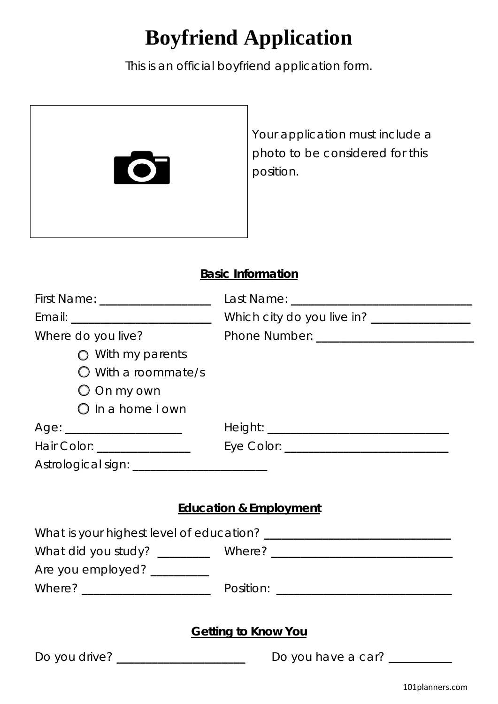## **Boyfriend Application**

This is an official boyfriend application form.

|                                               | Your application must include a<br>photo to be considered for this<br>position. |
|-----------------------------------------------|---------------------------------------------------------------------------------|
| <b>Basic Information</b>                      |                                                                                 |
| First Name: ____________________              |                                                                                 |
|                                               | Which city do you live in? _______________                                      |
| Where do you live?                            |                                                                                 |
| $\bigcirc$ With my parents                    |                                                                                 |
| $\bigcirc$ With a roommate/s                  |                                                                                 |
| $\bigcirc$ On my own                          |                                                                                 |
| $\bigcirc$ in a home I own                    |                                                                                 |
|                                               |                                                                                 |
| Hair Color: _______________                   |                                                                                 |
| Astrological sign: __________________________ |                                                                                 |
|                                               |                                                                                 |
| <b>Education &amp; Employment</b>             |                                                                                 |
|                                               |                                                                                 |
|                                               |                                                                                 |
| Are you employed? __________                  |                                                                                 |
|                                               |                                                                                 |
|                                               |                                                                                 |
| <b>Getting to Know You</b>                    |                                                                                 |
| Do you drive? _______________________         | Do you have a car? _________                                                    |
|                                               | 101planners.com                                                                 |